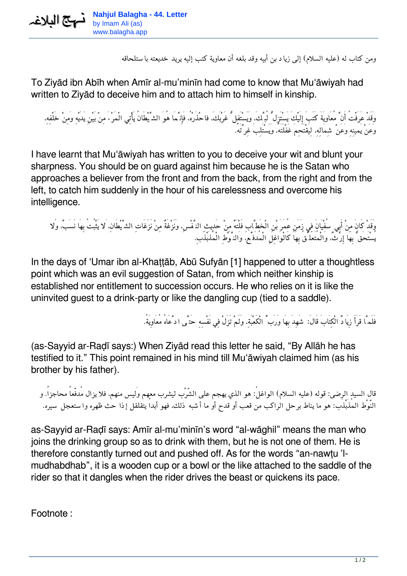

*ومن كتاب له (عليه السلام) إلى زياد بن أبيه وقد بلغه أن معاوية كتب إليه يريد خديعته باستلحاقه*

To Ziyād ibn Abīh when Amīr al-mu'minīn had come to know that Mu'āwiyah had written to Ziyād to deceive him and to attach him to himself in kinship.

*وَقَدْ عَرَفْتُ أَنَّ مُعَاويَةَ كَتَبَ إِلَيْكَ يَسْتَزِلُّ لُبَّك،َ وَيَسْتَفِلُّ غَرْبَك،َ فاحْذَرْه،ُ فَإِنَّمَا هُوَ الشَّيْطَانُ يَأْتِي الْمَرْءَ مِنْ بَيْنِ يَدَيْهِ وَمِنْ خَلْفِه،ِ وَعَنْ يَمينِهِ وَعَنْ شِمَالِه،ِ لِيَقْتَحِمَ غَفْلَتَه،ُ وَيَسْتَلِبَ غِرَّتَه.ُ*

I have learnt that Mu'āwiyah has written to you to deceive your wit and blunt your sharpness. You should be on guard against him because he is the Satan who approaches a believer from the front and from the back, from the right and from the left, to catch him suddenly in the hour of his carelessness and overcome his intelligence.

*وَقَدْ كَانَ مِنْ أَبِي سُفْيَانَ فِي زَمَنِ عُمَرَ بْنِ الْخَطَّابِ فَلْتَهٌ مِنْ حَدِيثِ النَّفْس،ِ وَنَزْغَةٌ مِنْ نَزَغَاتِ الشَّيْطَان،ِ َلا يَثْبُتُ بِهَا نَسَب،ٌ وَلا يُسْتَحَقُّ بِهَا إِرْث،ٌ وَالْمُتَعَلِّقُ بِهَا كَالْوَاغِلِ الْمُدَفَّع،ِ وَالنَّوْطِ الْمُذَبْذَب.ِ*

In the days of 'Umar ibn al-Khaṭṭāb, Abū Sufyān [1] happened to utter a thoughtless point which was an evil suggestion of Satan, from which neither kinship is established nor entitlement to succession occurs. He who relies on it is like the uninvited guest to a drink-party or like the dangling cup (tied to a saddle).

*فَلَمَّا قَرَأَ زِيَادٌ الْكِتَابَ قَال:َ شَهِدَ بِهَا وَرَبِّ الْكَعْبَة،ِ وَلَمْ تَزَلْ فِي نَفْسِهِ حَتَّى ادَّعَاهُ مُعَاوِيَة.ُ*

(as-Sayyid ar-Raḍī says:) When Ziyād read this letter he said, "By Allāh he has testified to it." This point remained in his mind till Mu'āwiyah claimed him (as his brother by his father).

*قال السيد الرضى: قوله (عليه السلام) الواغل:ُ هو الذي يهجم على الشّرْب ليشرب معهم وَليس منهم، فلا يزال مُدفّعاً محاجزا.ً و النّوْط المُذَبْذَب: هو ما يناط برحل الراكب من قعب أو قدح أو ما أشبه ذلك، فهو أبداً يتقلقل إذا حث ظهره واستعجل سيره.*

as-Sayyid ar-Raḍī says: Amīr al-mu'minīn's word "al-wāghil" means the man who joins the drinking group so as to drink with them, but he is not one of them. He is therefore constantly turned out and pushed off. As for the words "an-nawṭu 'lmudhabdhab", it is a wooden cup or a bowl or the like attached to the saddle of the rider so that it dangles when the rider drives the beast or quickens its pace.

Footnote :